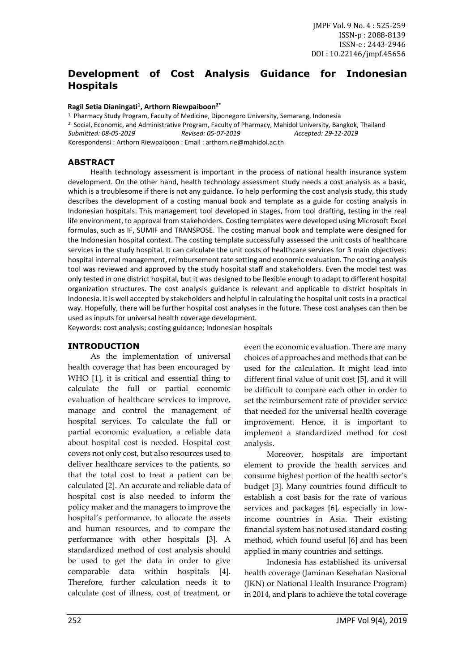# **Development of Cost Analysis Guidance for Indonesian Hospitals**

#### **Ragil Setia Dianingati<sup>1</sup> , Arthorn Riewpaiboon2\***

1. Pharmacy Study Program, Faculty of Medicine, Diponegoro University, Semarang, Indonesia 2. Social, Economic, and Administrative Program, Faculty of Pharmacy, Mahidol University, Bangkok, Thailand *Submitted: 08-05-2019 Revised: 05-07-2019 Accepted: 29-12-2019* Korespondensi : Arthorn Riewpaiboon : Email : arthorn.rie@mahidol.ac.th

### **ABSTRACT**

Health technology assessment is important in the process of national health insurance system development. On the other hand, health technology assessment study needs a cost analysis as a basic, which is a troublesome if there is not any guidance. To help performing the cost analysis study, this study describes the development of a costing manual book and template as a guide for costing analysis in Indonesian hospitals. This management tool developed in stages, from tool drafting, testing in the real life environment, to approval from stakeholders. Costing templates were developed using Microsoft Excel formulas, such as IF, SUMIF and TRANSPOSE. The costing manual book and template were designed for the Indonesian hospital context. The costing template successfully assessed the unit costs of healthcare services in the study hospital. It can calculate the unit costs of healthcare services for 3 main objectives: hospital internal management, reimbursement rate setting and economic evaluation. The costing analysis tool was reviewed and approved by the study hospital staff and stakeholders. Even the model test was only tested in one district hospital, but it was designed to be flexible enough to adapt to different hospital organization structures. The cost analysis guidance is relevant and applicable to district hospitals in Indonesia. It is well accepted by stakeholders and helpful in calculating the hospital unit costs in a practical way. Hopefully, there will be further hospital cost analyses in the future. These cost analyses can then be used as inputs for universal health coverage development.

Keywords: cost analysis; costing guidance; Indonesian hospitals

#### **INTRODUCTION**

As the implementation of universal health coverage that has been encouraged by WHO [1], it is critical and essential thing to calculate the full or partial economic evaluation of healthcare services to improve, manage and control the management of hospital services. To calculate the full or partial economic evaluation, a reliable data about hospital cost is needed. Hospital cost covers not only cost, but also resources used to deliver healthcare services to the patients, so that the total cost to treat a patient can be calculated [2]. An accurate and reliable data of hospital cost is also needed to inform the policy maker and the managers to improve the hospital's performance, to allocate the assets and human resources, and to compare the performance with other hospitals [3]. A standardized method of cost analysis should be used to get the data in order to give comparable data within hospitals [4]. Therefore, further calculation needs it to calculate cost of illness, cost of treatment, or even the economic evaluation. There are many choices of approaches and methods that can be used for the calculation. It might lead into different final value of unit cost [5], and it will be difficult to compare each other in order to set the reimbursement rate of provider service that needed for the universal health coverage improvement. Hence, it is important to implement a standardized method for cost analysis.

Moreover, hospitals are important element to provide the health services and consume highest portion of the health sector's budget [3]. Many countries found difficult to establish a cost basis for the rate of various services and packages [6], especially in lowincome countries in Asia. Their existing financial system has not used standard costing method, which found useful [6] and has been applied in many countries and settings.

Indonesia has established its universal health coverage (Jaminan Kesehatan Nasional (JKN) or National Health Insurance Program) in 2014, and plans to achieve the total coverage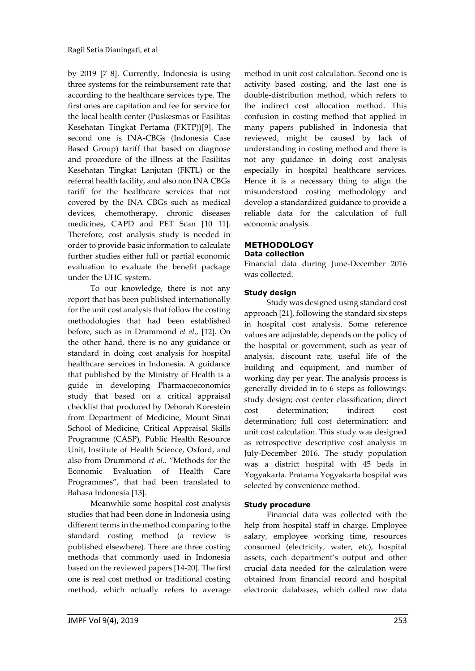by 2019 [7 8]. Currently, Indonesia is using three systems for the reimbursement rate that according to the healthcare services type. The first ones are capitation and fee for service for the local health center (Puskesmas or Fasilitas Kesehatan Tingkat Pertama (FKTP))[9]. The second one is INA-CBGs (Indonesia Case Based Group) tariff that based on diagnose and procedure of the illness at the Fasilitas Kesehatan Tingkat Lanjutan (FKTL) or the referral health facility, and also non INA CBGs tariff for the healthcare services that not covered by the INA CBGs such as medical devices, chemotherapy, chronic diseases medicines, CAPD and PET Scan [10 11]. Therefore, cost analysis study is needed in order to provide basic information to calculate further studies either full or partial economic evaluation to evaluate the benefit package under the UHC system.

To our knowledge, there is not any report that has been published internationally for the unit cost analysis that follow the costing methodologies that had been established before, such as in Drummond *et al.,* [12]. On the other hand, there is no any guidance or standard in doing cost analysis for hospital healthcare services in Indonesia. A guidance that published by the Ministry of Health is a guide in developing Pharmacoeconomics study that based on a critical appraisal checklist that produced by Deborah Korestein from Department of Medicine, Mount Sinai School of Medicine, Critical Appraisal Skills Programme (CASP), Public Health Resource Unit, Institute of Health Science, Oxford, and also from Drummond *et al.,* "Methods for the Economic Evaluation of Health Care Programmes", that had been translated to Bahasa Indonesia [13].

Meanwhile some hospital cost analysis studies that had been done in Indonesia using different terms in the method comparing to the standard costing method (a review is published elsewhere). There are three costing methods that commonly used in Indonesia based on the reviewed papers [14-20]. The first one is real cost method or traditional costing method, which actually refers to average

method in unit cost calculation. Second one is activity based costing, and the last one is double-distribution method, which refers to the indirect cost allocation method. This confusion in costing method that applied in many papers published in Indonesia that reviewed, might be caused by lack of understanding in costing method and there is not any guidance in doing cost analysis especially in hospital healthcare services. Hence it is a necessary thing to align the misunderstood costing methodology and develop a standardized guidance to provide a reliable data for the calculation of full economic analysis.

#### **METHODOLOGY Data collection**

Financial data during June-December 2016 was collected.

## **Study design**

Study was designed using standard cost approach [21], following the standard six steps in hospital cost analysis. Some reference values are adjustable, depends on the policy of the hospital or government, such as year of analysis, discount rate, useful life of the building and equipment, and number of working day per year. The analysis process is generally divided in to 6 steps as followings: study design; cost center classification; direct cost determination; indirect cost determination; full cost determination; and unit cost calculation. This study was designed as retrospective descriptive cost analysis in July-December 2016. The study population was a district hospital with 45 beds in Yogyakarta. Pratama Yogyakarta hospital was selected by convenience method.

### **Study procedure**

Financial data was collected with the help from hospital staff in charge. Employee salary, employee working time, resources consumed (electricity, water, etc), hospital assets, each department's output and other crucial data needed for the calculation were obtained from financial record and hospital electronic databases, which called raw data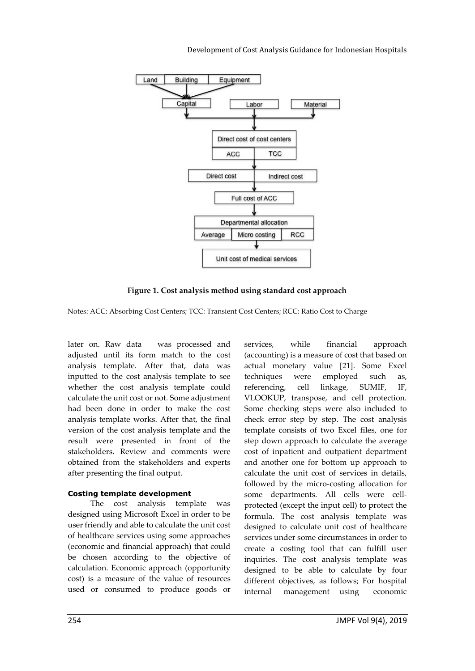

**Figure 1. Cost analysis method using standard cost approach**

Notes: ACC: Absorbing Cost Centers; TCC: Transient Cost Centers; RCC: Ratio Cost to Charge

later on. Raw data was processed and adjusted until its form match to the cost analysis template. After that, data was inputted to the cost analysis template to see whether the cost analysis template could calculate the unit cost or not. Some adjustment had been done in order to make the cost analysis template works. After that, the final version of the cost analysis template and the result were presented in front of the stakeholders. Review and comments were obtained from the stakeholders and experts after presenting the final output.

### **Costing template development**

The cost analysis template was designed using Microsoft Excel in order to be user friendly and able to calculate the unit cost of healthcare services using some approaches (economic and financial approach) that could be chosen according to the objective of calculation. Economic approach (opportunity cost) is a measure of the value of resources used or consumed to produce goods or

services, while financial approach (accounting) is a measure of cost that based on actual monetary value [21]. Some Excel techniques were employed such as, referencing, cell linkage, SUMIF, IF, VLOOKUP, transpose, and cell protection. Some checking steps were also included to check error step by step. The cost analysis template consists of two Excel files, one for step down approach to calculate the average cost of inpatient and outpatient department and another one for bottom up approach to calculate the unit cost of services in details, followed by the micro-costing allocation for some departments. All cells were cellprotected (except the input cell) to protect the formula. The cost analysis template was designed to calculate unit cost of healthcare services under some circumstances in order to create a costing tool that can fulfill user inquiries. The cost analysis template was designed to be able to calculate by four different objectives, as follows; For hospital internal management using economic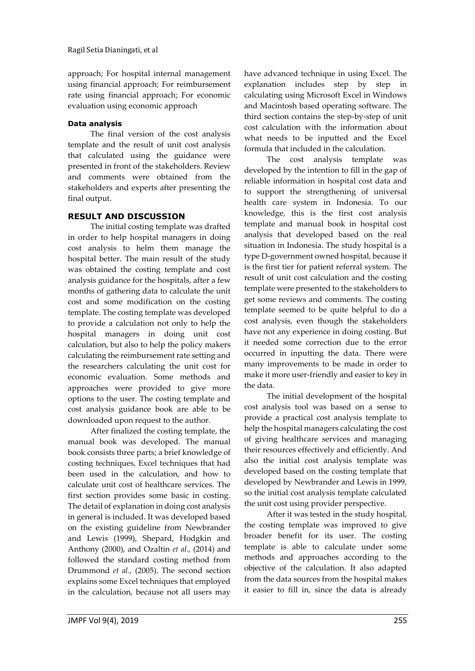approach; For hospital internal management using financial approach; For reimbursement rate using financial approach; For economic evaluation using economic approach

### **Data analysis**

The final version of the cost analysis template and the result of unit cost analysis that calculated using the guidance were presented in front of the stakeholders. Review and comments were obtained from the stakeholders and experts after presenting the final output.

# **RESULT AND DISCUSSION**

The initial costing template was drafted in order to help hospital managers in doing cost analysis to helm them manage the hospital better. The main result of the study was obtained the costing template and cost analysis guidance for the hospitals, after a few months of gathering data to calculate the unit cost and some modification on the costing template. The costing template was developed to provide a calculation not only to help the hospital managers in doing unit cost calculation, but also to help the policy makers calculating the reimbursement rate setting and the researchers calculating the unit cost for economic evaluation. Some methods and approaches were provided to give more options to the user. The costing template and cost analysis guidance book are able to be downloaded upon request to the author.

After finalized the costing template, the manual book was developed. The manual book consists three parts; a brief knowledge of costing techniques, Excel techniques that had been used in the calculation, and how to calculate unit cost of healthcare services. The first section provides some basic in costing. The detail of explanation in doing cost analysis in general is included. It was developed based on the existing guideline from Newbrander and Lewis (1999), Shepard, Hodgkin and Anthony (2000), and Ozaltin *et al.,* (2014) and followed the standard costing method from Drummond *et al.,* (2005). The second section explains some Excel techniques that employed in the calculation, because not all users may

have advanced technique in using Excel. The explanation includes step by step in calculating using Microsoft Excel in Windows and Macintosh based operating software. The third section contains the step-by-step of unit cost calculation with the information about what needs to be inputted and the Excel formula that included in the calculation.

The cost analysis template was developed by the intention to fill in the gap of reliable information in hospital cost data and to support the strengthening of universal health care system in Indonesia. To our knowledge, this is the first cost analysis template and manual book in hospital cost analysis that developed based on the real situation in Indonesia. The study hospital is a type D-government owned hospital, because it is the first tier for patient referral system. The result of unit cost calculation and the costing template were presented to the stakeholders to get some reviews and comments. The costing template seemed to be quite helpful to do a cost analysis, even though the stakeholders have not any experience in doing costing. But it needed some correction due to the error occurred in inputting the data. There were many improvements to be made in order to make it more user-friendly and easier to key in the data.

The initial development of the hospital cost analysis tool was based on a sense to provide a practical cost analysis template to help the hospital managers calculating the cost of giving healthcare services and managing their resources effectively and efficiently. And also the initial cost analysis template was developed based on the costing template that developed by Newbrander and Lewis in 1999, so the initial cost analysis template calculated the unit cost using provider perspective.

After it was tested in the study hospital, the costing template was improved to give broader benefit for its user. The costing template is able to calculate under some methods and approaches according to the objective of the calculation. It also adapted from the data sources from the hospital makes it easier to fill in, since the data is already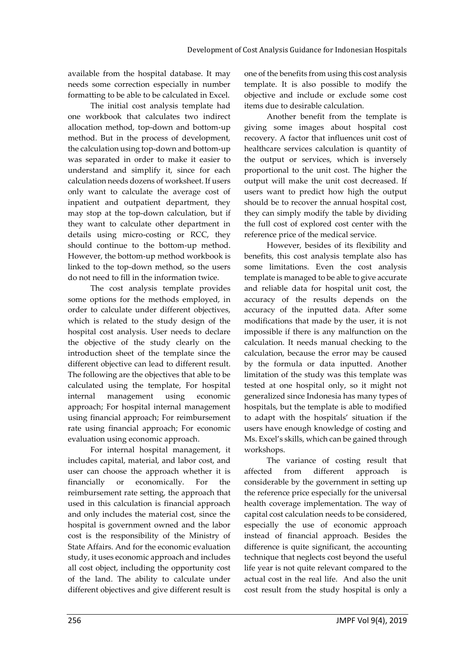available from the hospital database. It may needs some correction especially in number formatting to be able to be calculated in Excel.

The initial cost analysis template had one workbook that calculates two indirect allocation method, top-down and bottom-up method. But in the process of development, the calculation using top-down and bottom-up was separated in order to make it easier to understand and simplify it, since for each calculation needs dozens of worksheet. If users only want to calculate the average cost of inpatient and outpatient department, they may stop at the top-down calculation, but if they want to calculate other department in details using micro-costing or RCC, they should continue to the bottom-up method. However, the bottom-up method workbook is linked to the top-down method, so the users do not need to fill in the information twice.

The cost analysis template provides some options for the methods employed, in order to calculate under different objectives, which is related to the study design of the hospital cost analysis. User needs to declare the objective of the study clearly on the introduction sheet of the template since the different objective can lead to different result. The following are the objectives that able to be calculated using the template, For hospital internal management using economic approach; For hospital internal management using financial approach; For reimbursement rate using financial approach; For economic evaluation using economic approach.

For internal hospital management, it includes capital, material, and labor cost, and user can choose the approach whether it is financially or economically. For the reimbursement rate setting, the approach that used in this calculation is financial approach and only includes the material cost, since the hospital is government owned and the labor cost is the responsibility of the Ministry of State Affairs. And for the economic evaluation study, it uses economic approach and includes all cost object, including the opportunity cost of the land. The ability to calculate under different objectives and give different result is

one of the benefits from using this cost analysis template. It is also possible to modify the objective and include or exclude some cost items due to desirable calculation.

Another benefit from the template is giving some images about hospital cost recovery. A factor that influences unit cost of healthcare services calculation is quantity of the output or services, which is inversely proportional to the unit cost. The higher the output will make the unit cost decreased. If users want to predict how high the output should be to recover the annual hospital cost, they can simply modify the table by dividing the full cost of explored cost center with the reference price of the medical service.

However, besides of its flexibility and benefits, this cost analysis template also has some limitations. Even the cost analysis template is managed to be able to give accurate and reliable data for hospital unit cost, the accuracy of the results depends on the accuracy of the inputted data. After some modifications that made by the user, it is not impossible if there is any malfunction on the calculation. It needs manual checking to the calculation, because the error may be caused by the formula or data inputted. Another limitation of the study was this template was tested at one hospital only, so it might not generalized since Indonesia has many types of hospitals, but the template is able to modified to adapt with the hospitals' situation if the users have enough knowledge of costing and Ms. Excel's skills, which can be gained through workshops.

The variance of costing result that affected from different approach is considerable by the government in setting up the reference price especially for the universal health coverage implementation. The way of capital cost calculation needs to be considered, especially the use of economic approach instead of financial approach. Besides the difference is quite significant, the accounting technique that neglects cost beyond the useful life year is not quite relevant compared to the actual cost in the real life. And also the unit cost result from the study hospital is only a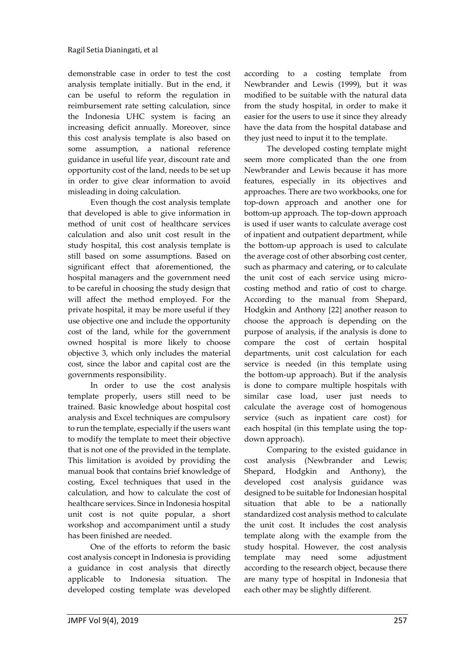demonstrable case in order to test the cost analysis template initially. But in the end, it can be useful to reform the regulation in reimbursement rate setting calculation, since the Indonesia UHC system is facing an increasing deficit annually. Moreover, since this cost analysis template is also based on some assumption, a national reference guidance in useful life year, discount rate and opportunity cost of the land, needs to be set up in order to give clear information to avoid misleading in doing calculation.

Even though the cost analysis template that developed is able to give information in method of unit cost of healthcare services calculation and also unit cost result in the study hospital, this cost analysis template is still based on some assumptions. Based on significant effect that aforementioned, the hospital managers and the government need to be careful in choosing the study design that will affect the method employed. For the private hospital, it may be more useful if they use objective one and include the opportunity cost of the land, while for the government owned hospital is more likely to choose objective 3, which only includes the material cost, since the labor and capital cost are the governments responsibility.

In order to use the cost analysis template properly, users still need to be trained. Basic knowledge about hospital cost analysis and Excel techniques are compulsory to run the template, especially if the users want to modify the template to meet their objective that is not one of the provided in the template. This limitation is avoided by providing the manual book that contains brief knowledge of costing, Excel techniques that used in the calculation, and how to calculate the cost of healthcare services. Since in Indonesia hospital unit cost is not quite popular, a short workshop and accompaniment until a study has been finished are needed.

One of the efforts to reform the basic cost analysis concept in Indonesia is providing a guidance in cost analysis that directly applicable to Indonesia situation. The developed costing template was developed

according to a costing template from Newbrander and Lewis (1999), but it was modified to be suitable with the natural data from the study hospital, in order to make it easier for the users to use it since they already have the data from the hospital database and they just need to input it to the template.

The developed costing template might seem more complicated than the one from Newbrander and Lewis because it has more features, especially in its objectives and approaches. There are two workbooks, one for top-down approach and another one for bottom-up approach. The top-down approach is used if user wants to calculate average cost of inpatient and outpatient department, while the bottom-up approach is used to calculate the average cost of other absorbing cost center, such as pharmacy and catering, or to calculate the unit cost of each service using microcosting method and ratio of cost to charge. According to the manual from Shepard, Hodgkin and Anthony [22] another reason to choose the approach is depending on the purpose of analysis, if the analysis is done to compare the cost of certain hospital departments, unit cost calculation for each service is needed (in this template using the bottom-up approach). But if the analysis is done to compare multiple hospitals with similar case load, user just needs to calculate the average cost of homogenous service (such as inpatient care cost) for each hospital (in this template using the topdown approach).

Comparing to the existed guidance in cost analysis (Newbrander and Lewis; Shepard, Hodgkin and Anthony), the developed cost analysis guidance was designed to be suitable for Indonesian hospital situation that able to be a nationally standardized cost analysis method to calculate the unit cost. It includes the cost analysis template along with the example from the study hospital. However, the cost analysis template may need some adjustment according to the research object, because there are many type of hospital in Indonesia that each other may be slightly different.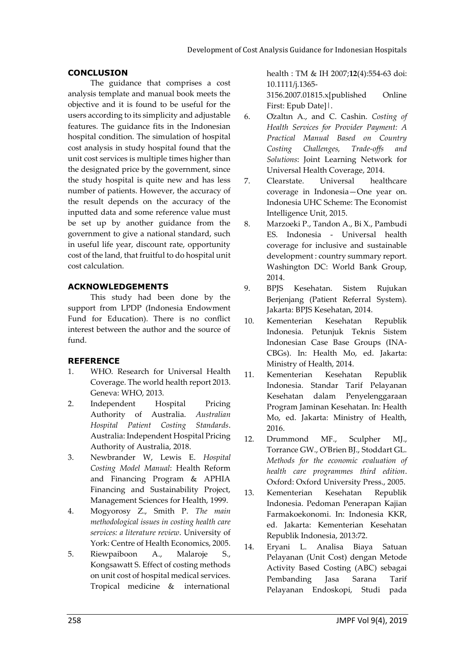## **CONCLUSION**

The guidance that comprises a cost analysis template and manual book meets the objective and it is found to be useful for the users according to its simplicity and adjustable features. The guidance fits in the Indonesian hospital condition. The simulation of hospital cost analysis in study hospital found that the unit cost services is multiple times higher than the designated price by the government, since the study hospital is quite new and has less number of patients. However, the accuracy of the result depends on the accuracy of the inputted data and some reference value must be set up by another guidance from the government to give a national standard, such in useful life year, discount rate, opportunity cost of the land, that fruitful to do hospital unit cost calculation.

## **ACKNOWLEDGEMENTS**

This study had been done by the support from LPDP (Indonesia Endowment Fund for Education). There is no conflict interest between the author and the source of fund.

# **REFERENCE**

- 1. WHO. Research for Universal Health Coverage. The world health report 2013. Geneva: WHO, 2013.
- 2. Independent Hospital Pricing Authority of Australia. *Australian Hospital Patient Costing Standards*. Australia: Independent Hospital Pricing Authority of Australia, 2018.
- 3. Newbrander W, Lewis E. *Hospital Costing Model Manual*: Health Reform and Financing Program & APHIA Financing and Sustainability Project, Management Sciences for Health, 1999.
- 4. Mogyorosy Z., Smith P. *The main methodological issues in costing health care services: a literature review*. University of York: Centre of Health Economics, 2005.
- 5. Riewpaiboon A., Malaroje S., Kongsawatt S. Effect of costing methods on unit cost of hospital medical services. Tropical medicine & international

health : TM & IH 2007;**12**(4):554-63 doi: 10.1111/j.1365-

3156.2007.01815.x[published Online First: Epub Date]|.

- 6. Özaltın A., and C. Cashin. *Costing of Health Services for Provider Payment: A Practical Manual Based on Country Costing Challenges, Trade-offs and Solutions*: Joint Learning Network for Universal Health Coverage, 2014.
- 7. Clearstate. Universal healthcare coverage in Indonesia—One year on. Indonesia UHC Scheme: The Economist Intelligence Unit, 2015.
- 8. Marzoeki P., Tandon A., Bi X., Pambudi ES. Indonesia - Universal health coverage for inclusive and sustainable development : country summary report. Washington DC: World Bank Group, 2014.
- 9. BPJS Kesehatan. Sistem Rujukan Berjenjang (Patient Referral System). Jakarta: BPJS Kesehatan, 2014.
- 10. Kementerian Kesehatan Republik Indonesia. Petunjuk Teknis Sistem Indonesian Case Base Groups (INA-CBGs). In: Health Mo, ed. Jakarta: Ministry of Health, 2014.
- 11. Kementerian Kesehatan Republik Indonesia. Standar Tarif Pelayanan Kesehatan dalam Penyelenggaraan Program Jaminan Kesehatan. In: Health Mo, ed. Jakarta: Ministry of Health, 2016.
- 12. Drummond MF., Sculpher MJ., Torrance GW., O'Brien BJ., Stoddart GL. *Methods for the economic evaluation of health care programmes third edition*. Oxford: Oxford University Press., 2005.
- 13. Kementerian Kesehatan Republik Indonesia. Pedoman Penerapan Kajian Farmakoekonomi. In: Indonesia KKR, ed. Jakarta: Kementerian Kesehatan Republik Indonesia, 2013:72.
- 14. Eryani L. Analisa Biaya Satuan Pelayanan (Unit Cost) dengan Metode Activity Based Costing (ABC) sebagai Pembanding Jasa Sarana Tarif Pelayanan Endoskopi, Studi pada